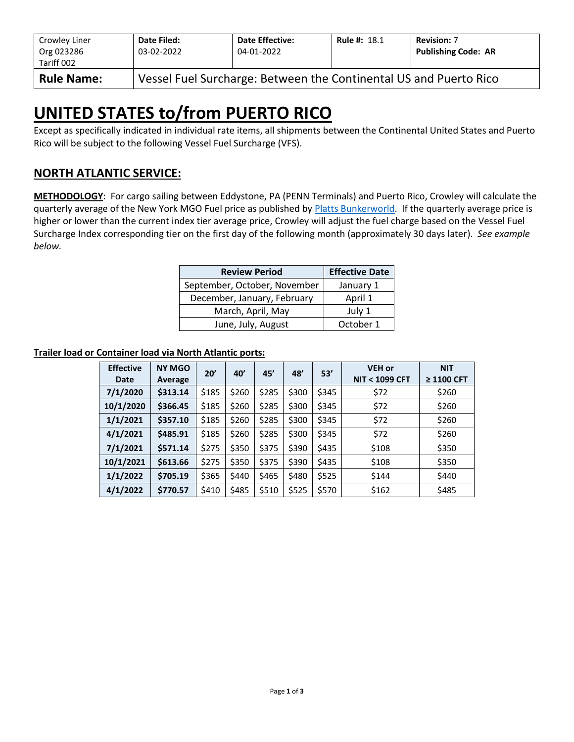| Crowley Liner<br>Org 023286<br>Tariff 002 | Date Filed:<br>03-02-2022                                         | <b>Date Effective:</b><br>04-01-2022 | <b>Rule #: 18.1</b> | <b>Revision: 7</b><br><b>Publishing Code: AR</b> |  |  |  |  |
|-------------------------------------------|-------------------------------------------------------------------|--------------------------------------|---------------------|--------------------------------------------------|--|--|--|--|
| <b>Rule Name:</b>                         | Vessel Fuel Surcharge: Between the Continental US and Puerto Rico |                                      |                     |                                                  |  |  |  |  |

# **UNITED STATES to/from PUERTO RICO**

Except as specifically indicated in individual rate items, all shipments between the Continental United States and Puerto Rico will be subject to the following Vessel Fuel Surcharge (VFS).

## **NORTH ATLANTIC SERVICE:**

**METHODOLOGY**: For cargo sailing between Eddystone, PA (PENN Terminals) and Puerto Rico, Crowley will calculate the quarterly average of the New York MGO Fuel price as published by [Platts Bunkerworld.](http://www.bunkerworld.com/) If the quarterly average price is higher or lower than the current index tier average price, Crowley will adjust the fuel charge based on the Vessel Fuel Surcharge Index corresponding tier on the first day of the following month (approximately 30 days later). *See example below.*

| <b>Review Period</b>         | <b>Effective Date</b> |
|------------------------------|-----------------------|
| September, October, November | January 1             |
| December, January, February  | April 1               |
| March, April, May            | July 1                |
| June, July, August           | October 1             |

#### **Trailer load or Container load via North Atlantic ports:**

| <b>Effective</b><br>Date | <b>NY MGO</b><br>Average | 20'   | 40'   | 45'   | 48'   | 53'   | <b>VEH or</b><br><b>NIT &lt; 1099 CFT</b> | <b>NIT</b><br>$\geq$ 1100 CFT |
|--------------------------|--------------------------|-------|-------|-------|-------|-------|-------------------------------------------|-------------------------------|
| 7/1/2020                 | \$313.14                 | \$185 | \$260 | \$285 | \$300 | \$345 | \$72                                      | \$260                         |
| 10/1/2020                | \$366.45                 | \$185 | \$260 | \$285 | \$300 | \$345 | \$72                                      | \$260                         |
| 1/1/2021                 | \$357.10                 | \$185 | \$260 | \$285 | \$300 | \$345 | \$72                                      | \$260                         |
| 4/1/2021                 | \$485.91                 | \$185 | \$260 | \$285 | \$300 | \$345 | \$72                                      | \$260                         |
| 7/1/2021                 | \$571.14                 | \$275 | \$350 | \$375 | \$390 | \$435 | \$108                                     | \$350                         |
| 10/1/2021                | \$613.66                 | \$275 | \$350 | \$375 | \$390 | \$435 | \$108                                     | \$350                         |
| 1/1/2022                 | \$705.19                 | \$365 | \$440 | \$465 | \$480 | \$525 | \$144                                     | \$440                         |
| 4/1/2022                 | \$770.57                 | \$410 | \$485 | \$510 | \$525 | \$570 | \$162                                     | \$485                         |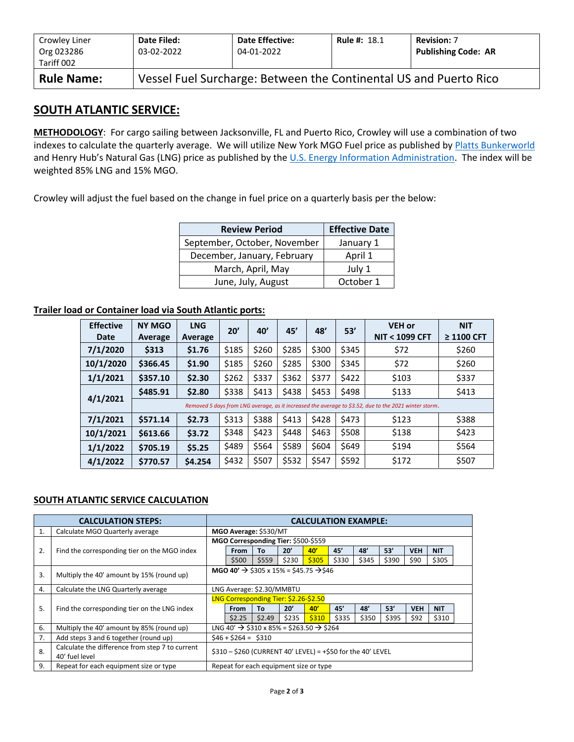| Crowley Liner<br>Org 023286<br>Tariff 002 | Date Filed:<br>03-02-2022                                         | <b>Date Effective:</b><br>04-01-2022 | <b>Rule #: 18.1</b> | <b>Revision: 7</b><br><b>Publishing Code: AR</b> |  |  |  |  |
|-------------------------------------------|-------------------------------------------------------------------|--------------------------------------|---------------------|--------------------------------------------------|--|--|--|--|
| <b>Rule Name:</b>                         | Vessel Fuel Surcharge: Between the Continental US and Puerto Rico |                                      |                     |                                                  |  |  |  |  |

### **SOUTH ATLANTIC SERVICE:**

**METHODOLOGY**: For cargo sailing between Jacksonville, FL and Puerto Rico, Crowley will use a combination of two indexes to calculate the quarterly average. We will utilize New York MGO Fuel price as published by [Platts Bunkerworld](http://www.bunkerworld.com/) and Henry Hub's Natural Gas (LNG) price as published by the [U.S. Energy Information Administration.](https://www.eia.gov/dnav/ng/hist/rngwhhdD.htm) The index will be weighted 85% LNG and 15% MGO.

Crowley will adjust the fuel based on the change in fuel price on a quarterly basis per the below:

| <b>Review Period</b>         | <b>Effective Date</b> |
|------------------------------|-----------------------|
| September, October, November | January 1             |
| December, January, February  | April 1               |
| March, April, May            | July 1                |
| June, July, August           | October 1             |

#### **Trailer load or Container load via South Atlantic ports:**

| <b>Effective</b><br>Date | <b>NY MGO</b><br>Average                                                                              | <b>LNG</b><br>Average | 20'   | 40'   | 45'   | 48'   | 53'   | <b>VEH or</b><br><b>NIT &lt; 1099 CFT</b> | <b>NIT</b><br>$\geq$ 1100 CFT |  |  |  |
|--------------------------|-------------------------------------------------------------------------------------------------------|-----------------------|-------|-------|-------|-------|-------|-------------------------------------------|-------------------------------|--|--|--|
| 7/1/2020                 | \$313                                                                                                 | \$1.76                | \$185 | \$260 | \$285 | \$300 | \$345 | \$72                                      | \$260                         |  |  |  |
| 10/1/2020                | \$366.45                                                                                              | \$1.90                | \$185 | \$260 | \$285 | \$300 | \$345 | \$72                                      | \$260                         |  |  |  |
| 1/1/2021                 | \$357.10                                                                                              | \$2.30                | \$262 | \$337 | \$362 | \$377 | \$422 | \$103                                     | \$337                         |  |  |  |
| 4/1/2021                 | \$485.91                                                                                              | \$2.80                | \$338 | \$413 | \$438 | \$453 | \$498 | \$133                                     | \$413                         |  |  |  |
|                          | Removed 5 days from LNG average, as it increased the average to \$3.52, due to the 2021 winter storm. |                       |       |       |       |       |       |                                           |                               |  |  |  |
| 7/1/2021                 | \$571.14                                                                                              | \$2.73                | \$313 | \$388 | \$413 | \$428 | \$473 | \$123                                     | \$388                         |  |  |  |
| 10/1/2021                | \$613.66                                                                                              | \$3.72                | \$348 | \$423 | \$448 | \$463 | \$508 | \$138                                     | \$423                         |  |  |  |
| 1/1/2022                 | \$705.19                                                                                              | \$5.25                | \$489 | \$564 | \$589 | \$604 | \$649 | \$194                                     | \$564                         |  |  |  |
| 4/1/2022                 | \$770.57                                                                                              | \$4.254               | \$432 | \$507 | \$532 | \$547 | \$592 | \$172                                     | \$507                         |  |  |  |

#### **SOUTH ATLANTIC SERVICE CALCULATION**

|    | <b>CALCULATION STEPS:</b>                                         | <b>CALCULATION EXAMPLE:</b>                                    |                                                                  |        |       |       |       |       |       |            |            |  |
|----|-------------------------------------------------------------------|----------------------------------------------------------------|------------------------------------------------------------------|--------|-------|-------|-------|-------|-------|------------|------------|--|
| 1. | Calculate MGO Quarterly average                                   | MGO Average: \$530/MT                                          |                                                                  |        |       |       |       |       |       |            |            |  |
|    |                                                                   | MGO Corresponding Tier: \$500-\$559                            |                                                                  |        |       |       |       |       |       |            |            |  |
| 2. | Find the corresponding tier on the MGO index                      |                                                                | From                                                             | To     | 20'   | 40'   | 45'   | 48'   | 53'   | <b>VEH</b> | <b>NIT</b> |  |
|    |                                                                   |                                                                | \$500                                                            | \$559  | \$230 | \$305 | \$330 | \$345 | \$390 | \$90       | \$305      |  |
| 3. | Multiply the 40' amount by 15% (round up)                         | MGO 40' $\rightarrow$ \$305 x 15% = \$45.75 $\rightarrow$ \$46 |                                                                  |        |       |       |       |       |       |            |            |  |
| 4. | Calculate the LNG Quarterly average                               | LNG Average: \$2.30/MMBTU                                      |                                                                  |        |       |       |       |       |       |            |            |  |
|    |                                                                   |                                                                | LNG Corresponding Tier: \$2.26-\$2.50                            |        |       |       |       |       |       |            |            |  |
| 5. | Find the corresponding tier on the LNG index                      |                                                                | From                                                             | To     | 20'   | 40'   | 45'   | 48'   | 53'   | <b>VEH</b> | <b>NIT</b> |  |
|    |                                                                   |                                                                | \$2.25                                                           | \$2.49 | \$235 | \$310 | \$335 | \$350 | \$395 | \$92       | \$310      |  |
| 6. | Multiply the 40' amount by 85% (round up)                         |                                                                | LNG 40' $\rightarrow$ \$310 x 85% = \$263.50 $\rightarrow$ \$264 |        |       |       |       |       |       |            |            |  |
| 7. | Add steps 3 and 6 together (round up)                             |                                                                | $$46 + $264 = $310$                                              |        |       |       |       |       |       |            |            |  |
| 8. | Calculate the difference from step 7 to current<br>40' fuel level | $$310 - $260$ (CURRENT 40' LEVEL) = +\$50 for the 40' LEVEL    |                                                                  |        |       |       |       |       |       |            |            |  |
| 9. | Repeat for each equipment size or type                            |                                                                | Repeat for each equipment size or type                           |        |       |       |       |       |       |            |            |  |